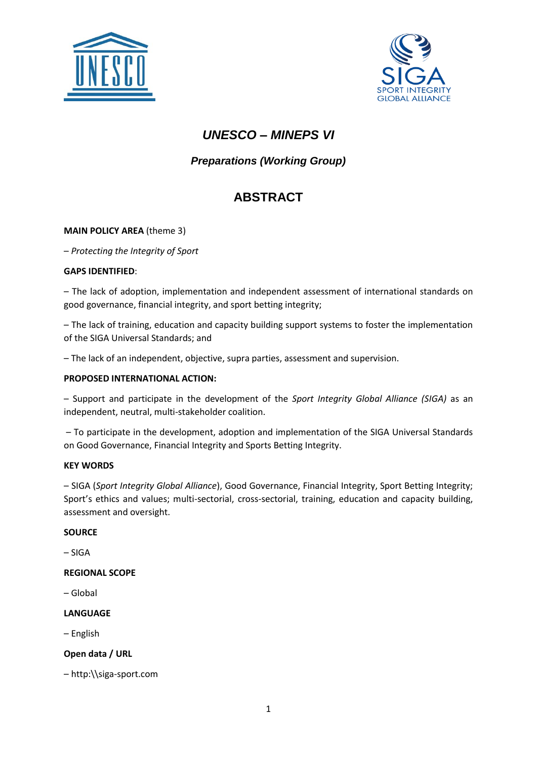



# *UNESCO – MINEPS VI*

## *Preparations (Working Group)*

# **ABSTRACT**

## **MAIN POLICY AREA** (theme 3)

– *Protecting the Integrity of Sport*

## **GAPS IDENTIFIED**:

– The lack of adoption, implementation and independent assessment of international standards on good governance, financial integrity, and sport betting integrity;

– The lack of training, education and capacity building support systems to foster the implementation of the SIGA Universal Standards; and

– The lack of an independent, objective, supra parties, assessment and supervision.

### **PROPOSED INTERNATIONAL ACTION:**

– Support and participate in the development of the *Sport Integrity Global Alliance (SIGA)* as an independent, neutral, multi-stakeholder coalition.

– To participate in the development, adoption and implementation of the SIGA Universal Standards on Good Governance, Financial Integrity and Sports Betting Integrity.

### **KEY WORDS**

– SIGA (*Sport Integrity Global Alliance*), Good Governance, Financial Integrity, Sport Betting Integrity; Sport's ethics and values; multi-sectorial, cross-sectorial, training, education and capacity building, assessment and oversight.

### **SOURCE**

– SIGA

### **REGIONAL SCOPE**

– Global

### **LANGUAGE**

– English

## **Open data / URL**

– http:\\siga-sport.com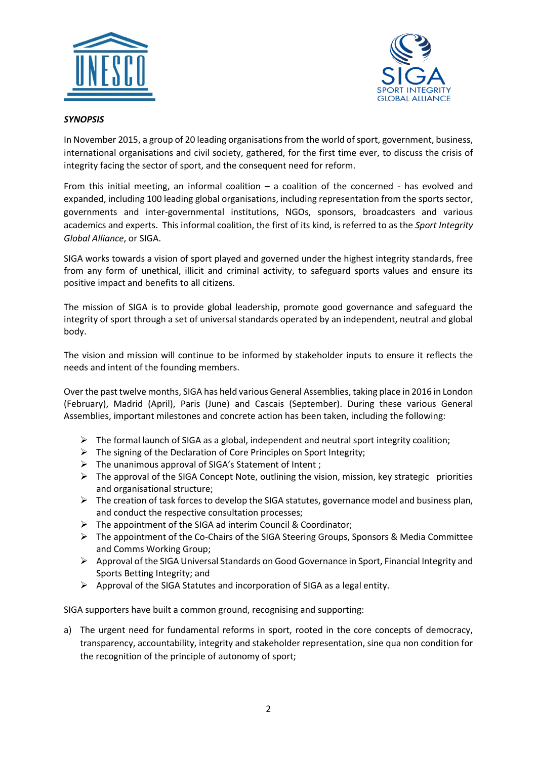



### *SYNOPSIS*

In November 2015, a group of 20 leading organisations from the world of sport, government, business, international organisations and civil society, gathered, for the first time ever, to discuss the crisis of integrity facing the sector of sport, and the consequent need for reform.

From this initial meeting, an informal coalition – a coalition of the concerned - has evolved and expanded, including 100 leading global organisations, including representation from the sports sector, governments and inter-governmental institutions, NGOs, sponsors, broadcasters and various academics and experts. This informal coalition, the first of its kind, is referred to as the *Sport Integrity Global Alliance*, or SIGA.

SIGA works towards a vision of sport played and governed under the highest integrity standards, free from any form of unethical, illicit and criminal activity, to safeguard sports values and ensure its positive impact and benefits to all citizens.

The mission of SIGA is to provide global leadership, promote good governance and safeguard the integrity of sport through a set of universal standards operated by an independent, neutral and global body.

The vision and mission will continue to be informed by stakeholder inputs to ensure it reflects the needs and intent of the founding members.

Over the past twelve months, SIGA has held various General Assemblies, taking place in 2016 in London (February), Madrid (April), Paris (June) and Cascais (September). During these various General Assemblies, important milestones and concrete action has been taken, including the following:

- $\triangleright$  The formal launch of SIGA as a global, independent and neutral sport integrity coalition;
- $\triangleright$  The signing of the Declaration of Core Principles on Sport Integrity;
- $\triangleright$  The unanimous approval of SIGA's Statement of Intent;
- $\triangleright$  The approval of the SIGA Concept Note, outlining the vision, mission, key strategic priorities and organisational structure;
- $\triangleright$  The creation of task forces to develop the SIGA statutes, governance model and business plan, and conduct the respective consultation processes;
- $\triangleright$  The appointment of the SIGA ad interim Council & Coordinator;
- The appointment of the Co-Chairs of the SIGA Steering Groups, Sponsors & Media Committee and Comms Working Group;
- $\triangleright$  Approval of the SIGA Universal Standards on Good Governance in Sport, Financial Integrity and Sports Betting Integrity; and
- $\triangleright$  Approval of the SIGA Statutes and incorporation of SIGA as a legal entity.

SIGA supporters have built a common ground, recognising and supporting:

a) The urgent need for fundamental reforms in sport, rooted in the core concepts of democracy, transparency, accountability, integrity and stakeholder representation, sine qua non condition for the recognition of the principle of autonomy of sport;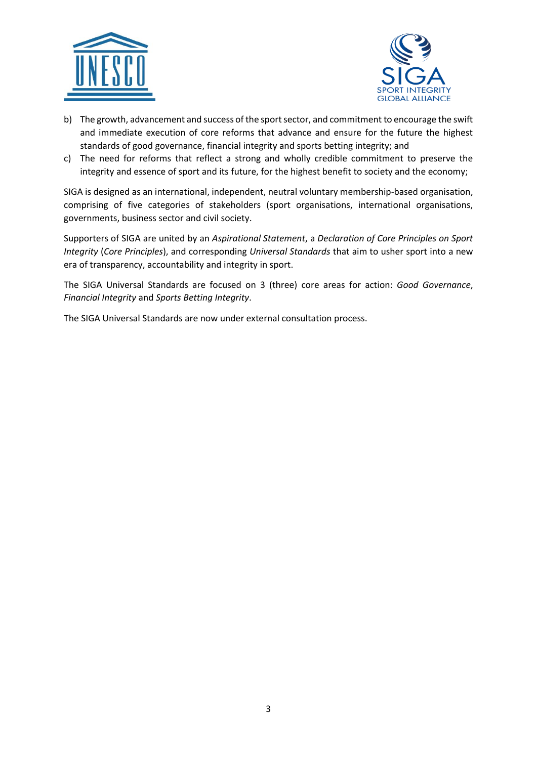



- b) The growth, advancement and success of the sport sector, and commitment to encourage the swift and immediate execution of core reforms that advance and ensure for the future the highest standards of good governance, financial integrity and sports betting integrity; and
- c) The need for reforms that reflect a strong and wholly credible commitment to preserve the integrity and essence of sport and its future, for the highest benefit to society and the economy;

SIGA is designed as an international, independent, neutral voluntary membership-based organisation, comprising of five categories of stakeholders (sport organisations, international organisations, governments, business sector and civil society.

Supporters of SIGA are united by an *Aspirational Statement*, a *Declaration of Core Principles on Sport Integrity* (*Core Principles*), and corresponding *Universal Standards* that aim to usher sport into a new era of transparency, accountability and integrity in sport.

The SIGA Universal Standards are focused on 3 (three) core areas for action: *Good Governance*, *Financial Integrity* and *Sports Betting Integrity*.

The SIGA Universal Standards are now under external consultation process.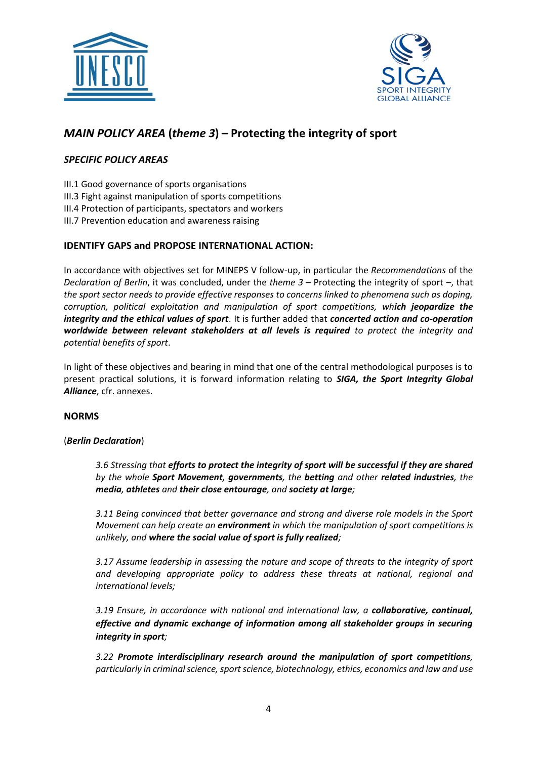



## *MAIN POLICY AREA* **(***theme 3***) – Protecting the integrity of sport**

## *SPECIFIC POLICY AREAS*

III.1 Good governance of sports organisations

- III.3 Fight against manipulation of sports competitions
- III.4 Protection of participants, spectators and workers
- III.7 Prevention education and awareness raising

## **IDENTIFY GAPS and PROPOSE INTERNATIONAL ACTION:**

In accordance with objectives set for MINEPS V follow-up, in particular the *Recommendations* of the *Declaration of Berlin*, it was concluded, under the *theme 3* – Protecting the integrity of sport –, that *the sport sector needs to provide effective responses to concerns linked to phenomena such as doping, corruption, political exploitation and manipulation of sport competitions, which jeopardize the integrity and the ethical values of sport*. It is further added that *concerted action and co-operation worldwide between relevant stakeholders at all levels is required to protect the integrity and potential benefits of sport*.

In light of these objectives and bearing in mind that one of the central methodological purposes is to present practical solutions, it is forward information relating to *SIGA, the Sport Integrity Global Alliance*, cfr. annexes.

### **NORMS**

### (*Berlin Declaration*)

*3.6 Stressing that efforts to protect the integrity of sport will be successful if they are shared by the whole Sport Movement, governments, the betting and other related industries, the media, athletes and their close entourage, and society at large;*

*3.11 Being convinced that better governance and strong and diverse role models in the Sport Movement can help create an environment in which the manipulation of sport competitions is unlikely, and where the social value of sport is fully realized;*

*3.17 Assume leadership in assessing the nature and scope of threats to the integrity of sport and developing appropriate policy to address these threats at national, regional and international levels;*

*3.19 Ensure, in accordance with national and international law, a collaborative, continual, effective and dynamic exchange of information among all stakeholder groups in securing integrity in sport;* 

*3.22 Promote interdisciplinary research around the manipulation of sport competitions, particularly in criminal science, sport science, biotechnology, ethics, economics and law and use*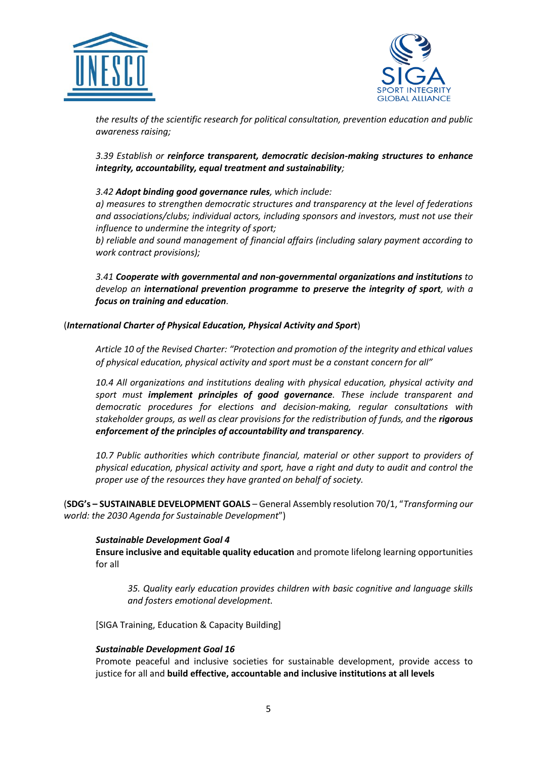



*the results of the scientific research for political consultation, prevention education and public awareness raising;*

*3.39 Establish or reinforce transparent, democratic decision-making structures to enhance integrity, accountability, equal treatment and sustainability;* 

### *3.42 Adopt binding good governance rules, which include:*

*a) measures to strengthen democratic structures and transparency at the level of federations and associations/clubs; individual actors, including sponsors and investors, must not use their influence to undermine the integrity of sport;* 

*b) reliable and sound management of financial affairs (including salary payment according to work contract provisions);*

*3.41 Cooperate with governmental and non-governmental organizations and institutions to develop an international prevention programme to preserve the integrity of sport, with a focus on training and education.*

### (*International Charter of Physical Education, Physical Activity and Sport*)

*Article 10 of the Revised Charter: "Protection and promotion of the integrity and ethical values of physical education, physical activity and sport must be a constant concern for all"*

*10.4 All organizations and institutions dealing with physical education, physical activity and sport must implement principles of good governance. These include transparent and democratic procedures for elections and decision-making, regular consultations with stakeholder groups, as well as clear provisions for the redistribution of funds, and the rigorous enforcement of the principles of accountability and transparency.*

*10.7 Public authorities which contribute financial, material or other support to providers of physical education, physical activity and sport, have a right and duty to audit and control the proper use of the resources they have granted on behalf of society.*

(**SDG's – SUSTAINABLE DEVELOPMENT GOALS** – General Assembly resolution 70/1, "*Transforming our world: the 2030 Agenda for Sustainable Development*")

### *Sustainable Development Goal 4*

**Ensure inclusive and equitable quality education** and promote lifelong learning opportunities for all

*35. Quality early education provides children with basic cognitive and language skills and fosters emotional development.*

[SIGA Training, Education & Capacity Building]

### *Sustainable Development Goal 16*

Promote peaceful and inclusive societies for sustainable development, provide access to justice for all and **build effective, accountable and inclusive institutions at all levels**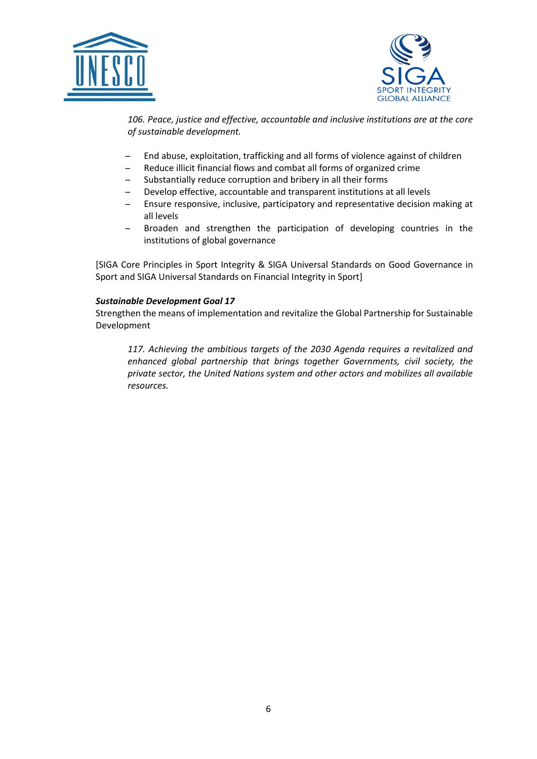



*106. Peace, justice and effective, accountable and inclusive institutions are at the core of sustainable development.*

- ̶ End abuse, exploitation, trafficking and all forms of violence against of children
- ̶ Reduce illicit financial flows and combat all forms of organized crime
- ̶ Substantially reduce corruption and bribery in all their forms
- ̶ Develop effective, accountable and transparent institutions at all levels
- ̶ Ensure responsive, inclusive, participatory and representative decision making at all levels
- ̶ Broaden and strengthen the participation of developing countries in the institutions of global governance

[SIGA Core Principles in Sport Integrity & SIGA Universal Standards on Good Governance in Sport and SIGA Universal Standards on Financial Integrity in Sport]

### *Sustainable Development Goal 17*

Strengthen the means of implementation and revitalize the Global Partnership for Sustainable Development

*117. Achieving the ambitious targets of the 2030 Agenda requires a revitalized and enhanced global partnership that brings together Governments, civil society, the private sector, the United Nations system and other actors and mobilizes all available resources.*